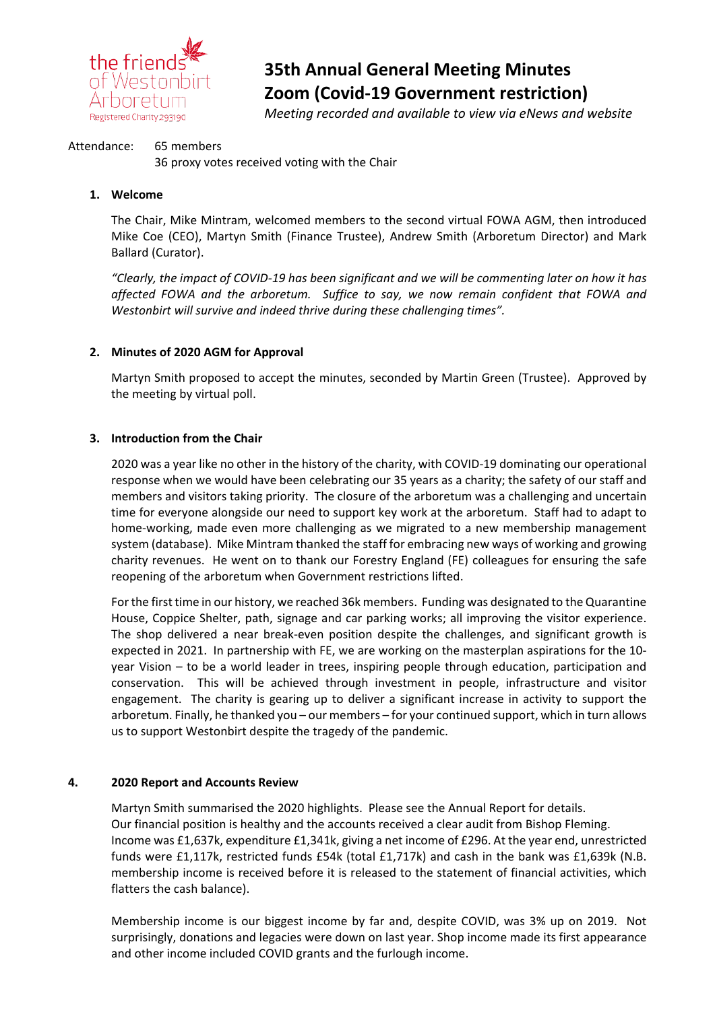

# **35th Annual General Meeting Minutes Zoom (Covid-19 Government restriction)**

*Meeting recorded and available to view via eNews and website*

#### Attendance: 65 members

36 proxy votes received voting with the Chair

#### **1. Welcome**

The Chair, Mike Mintram, welcomed members to the second virtual FOWA AGM, then introduced Mike Coe (CEO), Martyn Smith (Finance Trustee), Andrew Smith (Arboretum Director) and Mark Ballard (Curator).

*"Clearly, the impact of COVID-19 has been significant and we will be commenting later on how it has affected FOWA and the arboretum. Suffice to say, we now remain confident that FOWA and Westonbirt will survive and indeed thrive during these challenging times".*

# **2. Minutes of 2020 AGM for Approval**

Martyn Smith proposed to accept the minutes, seconded by Martin Green (Trustee). Approved by the meeting by virtual poll.

# **3. Introduction from the Chair**

2020 was a year like no other in the history of the charity, with COVID-19 dominating our operational response when we would have been celebrating our 35 years as a charity; the safety of our staff and members and visitors taking priority. The closure of the arboretum was a challenging and uncertain time for everyone alongside our need to support key work at the arboretum. Staff had to adapt to home-working, made even more challenging as we migrated to a new membership management system (database). Mike Mintram thanked the staff for embracing new ways of working and growing charity revenues. He went on to thank our Forestry England (FE) colleagues for ensuring the safe reopening of the arboretum when Government restrictions lifted.

For the first time in our history, we reached 36k members. Funding was designated to the Quarantine House, Coppice Shelter, path, signage and car parking works; all improving the visitor experience. The shop delivered a near break-even position despite the challenges, and significant growth is expected in 2021. In partnership with FE, we are working on the masterplan aspirations for the 10 year Vision – to be a world leader in trees, inspiring people through education, participation and conservation. This will be achieved through investment in people, infrastructure and visitor engagement. The charity is gearing up to deliver a significant increase in activity to support the arboretum. Finally, he thanked you – our members – for your continued support, which in turn allows us to support Westonbirt despite the tragedy of the pandemic.

#### **4. 2020 Report and Accounts Review**

Martyn Smith summarised the 2020 highlights. Please see the Annual Report for details. Our financial position is healthy and the accounts received a clear audit from Bishop Fleming. Income was £1,637k, expenditure £1,341k, giving a net income of £296. At the year end, unrestricted funds were £1,117k, restricted funds £54k (total £1,717k) and cash in the bank was £1,639k (N.B. membership income is received before it is released to the statement of financial activities, which flatters the cash balance).

Membership income is our biggest income by far and, despite COVID, was 3% up on 2019. Not surprisingly, donations and legacies were down on last year. Shop income made its first appearance and other income included COVID grants and the furlough income.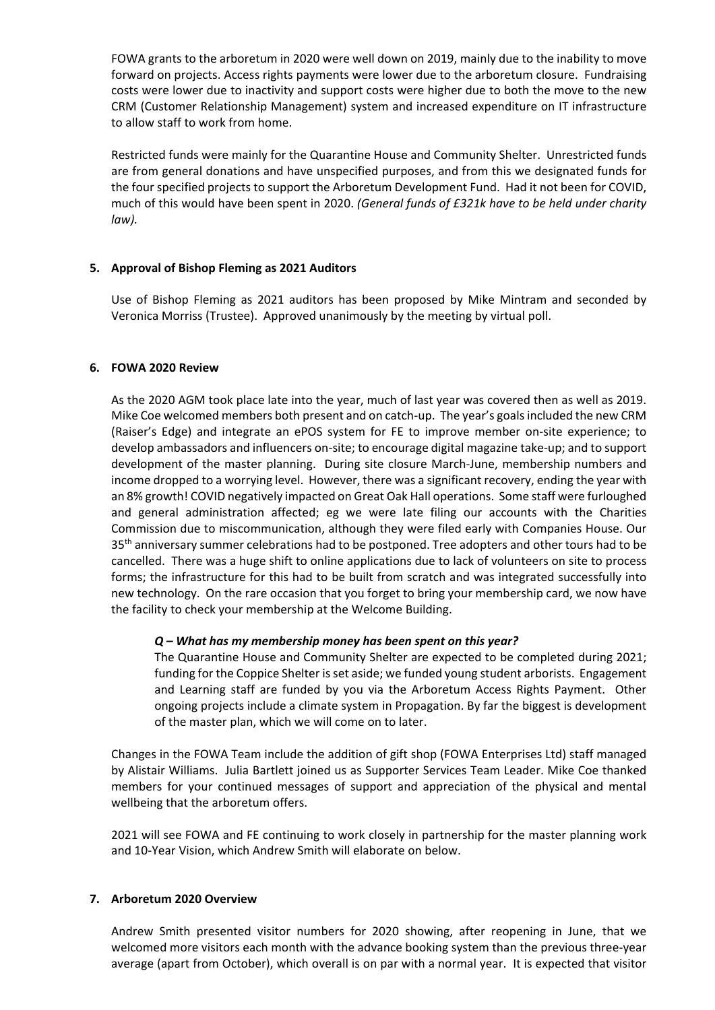FOWA grants to the arboretum in 2020 were well down on 2019, mainly due to the inability to move forward on projects. Access rights payments were lower due to the arboretum closure. Fundraising costs were lower due to inactivity and support costs were higher due to both the move to the new CRM (Customer Relationship Management) system and increased expenditure on IT infrastructure to allow staff to work from home.

Restricted funds were mainly for the Quarantine House and Community Shelter. Unrestricted funds are from general donations and have unspecified purposes, and from this we designated funds for the four specified projects to support the Arboretum Development Fund. Had it not been for COVID, much of this would have been spent in 2020. *(General funds of £321k have to be held under charity law).*

# **5. Approval of Bishop Fleming as 2021 Auditors**

Use of Bishop Fleming as 2021 auditors has been proposed by Mike Mintram and seconded by Veronica Morriss (Trustee). Approved unanimously by the meeting by virtual poll.

#### **6. FOWA 2020 Review**

As the 2020 AGM took place late into the year, much of last year was covered then as well as 2019. Mike Coe welcomed members both present and on catch-up. The year's goals included the new CRM (Raiser's Edge) and integrate an ePOS system for FE to improve member on-site experience; to develop ambassadors and influencers on-site; to encourage digital magazine take-up; and to support development of the master planning. During site closure March-June, membership numbers and income dropped to a worrying level. However, there was a significant recovery, ending the year with an 8% growth! COVID negatively impacted on Great Oak Hall operations. Some staff were furloughed and general administration affected; eg we were late filing our accounts with the Charities Commission due to miscommunication, although they were filed early with Companies House. Our 35<sup>th</sup> anniversary summer celebrations had to be postponed. Tree adopters and other tours had to be cancelled. There was a huge shift to online applications due to lack of volunteers on site to process forms; the infrastructure for this had to be built from scratch and was integrated successfully into new technology. On the rare occasion that you forget to bring your membership card, we now have the facility to check your membership at the Welcome Building.

#### *Q – What has my membership money has been spent on this year?*

The Quarantine House and Community Shelter are expected to be completed during 2021; funding for the Coppice Shelter is set aside; we funded young student arborists. Engagement and Learning staff are funded by you via the Arboretum Access Rights Payment. Other ongoing projects include a climate system in Propagation. By far the biggest is development of the master plan, which we will come on to later.

Changes in the FOWA Team include the addition of gift shop (FOWA Enterprises Ltd) staff managed by Alistair Williams. Julia Bartlett joined us as Supporter Services Team Leader. Mike Coe thanked members for your continued messages of support and appreciation of the physical and mental wellbeing that the arboretum offers.

2021 will see FOWA and FE continuing to work closely in partnership for the master planning work and 10-Year Vision, which Andrew Smith will elaborate on below.

#### **7. Arboretum 2020 Overview**

Andrew Smith presented visitor numbers for 2020 showing, after reopening in June, that we welcomed more visitors each month with the advance booking system than the previous three-year average (apart from October), which overall is on par with a normal year. It is expected that visitor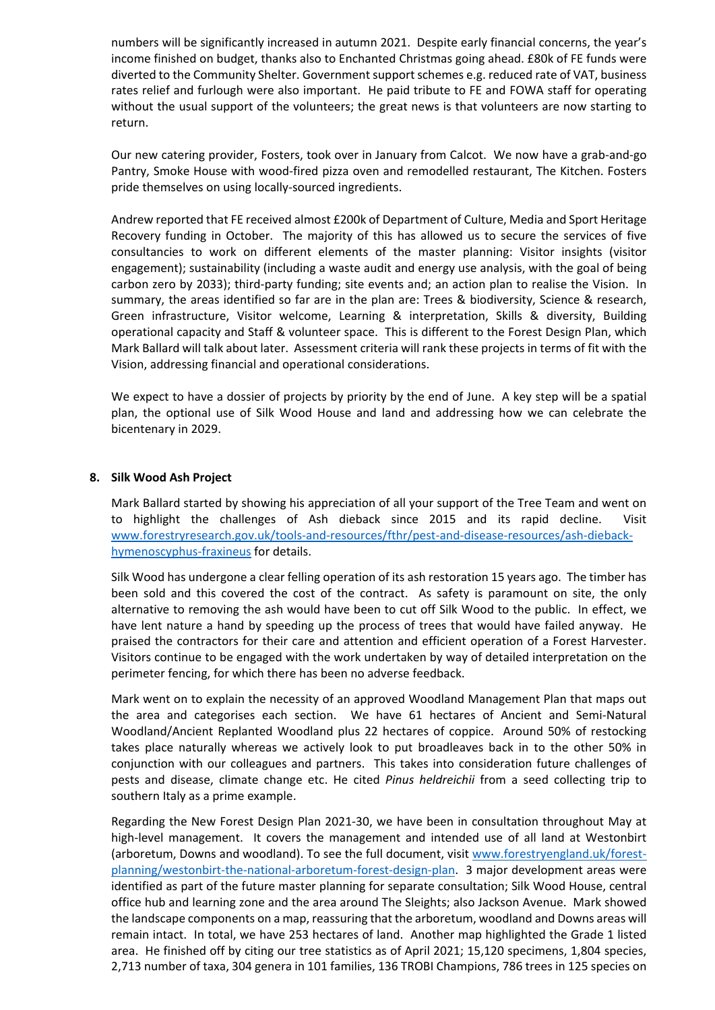numbers will be significantly increased in autumn 2021. Despite early financial concerns, the year's income finished on budget, thanks also to Enchanted Christmas going ahead. £80k of FE funds were diverted to the Community Shelter. Government support schemes e.g. reduced rate of VAT, business rates relief and furlough were also important. He paid tribute to FE and FOWA staff for operating without the usual support of the volunteers; the great news is that volunteers are now starting to return.

Our new catering provider, Fosters, took over in January from Calcot. We now have a grab-and-go Pantry, Smoke House with wood-fired pizza oven and remodelled restaurant, The Kitchen. Fosters pride themselves on using locally-sourced ingredients.

Andrew reported that FE received almost £200k of Department of Culture, Media and Sport Heritage Recovery funding in October. The majority of this has allowed us to secure the services of five consultancies to work on different elements of the master planning: Visitor insights (visitor engagement); sustainability (including a waste audit and energy use analysis, with the goal of being carbon zero by 2033); third-party funding; site events and; an action plan to realise the Vision. In summary, the areas identified so far are in the plan are: Trees & biodiversity, Science & research, Green infrastructure, Visitor welcome, Learning & interpretation, Skills & diversity, Building operational capacity and Staff & volunteer space. This is different to the Forest Design Plan, which Mark Ballard will talk about later. Assessment criteria will rank these projects in terms of fit with the Vision, addressing financial and operational considerations.

We expect to have a dossier of projects by priority by the end of June. A key step will be a spatial plan, the optional use of Silk Wood House and land and addressing how we can celebrate the bicentenary in 2029.

#### **8. Silk Wood Ash Project**

Mark Ballard started by showing his appreciation of all your support of the Tree Team and went on to highlight the challenges of Ash dieback since 2015 and its rapid decline. Visit [www.forestryresearch.gov.uk/tools-and-resources/fthr/pest-and-disease-resources/ash-dieback](about:blank)[hymenoscyphus-fraxineus](about:blank) for details.

Silk Wood has undergone a clear felling operation of its ash restoration 15 years ago. The timber has been sold and this covered the cost of the contract. As safety is paramount on site, the only alternative to removing the ash would have been to cut off Silk Wood to the public. In effect, we have lent nature a hand by speeding up the process of trees that would have failed anyway. He praised the contractors for their care and attention and efficient operation of a Forest Harvester. Visitors continue to be engaged with the work undertaken by way of detailed interpretation on the perimeter fencing, for which there has been no adverse feedback.

Mark went on to explain the necessity of an approved Woodland Management Plan that maps out the area and categorises each section. We have 61 hectares of Ancient and Semi-Natural Woodland/Ancient Replanted Woodland plus 22 hectares of coppice. Around 50% of restocking takes place naturally whereas we actively look to put broadleaves back in to the other 50% in conjunction with our colleagues and partners. This takes into consideration future challenges of pests and disease, climate change etc. He cited *Pinus heldreichii* from a seed collecting trip to southern Italy as a prime example.

Regarding the New Forest Design Plan 2021-30, we have been in consultation throughout May at high-level management. It covers the management and intended use of all land at Westonbirt (arboretum, Downs and woodland). To see the full document, visit [www.forestryengland.uk/forest](about:blank)[planning/westonbirt-the-national-arboretum-forest-design-plan.](about:blank) 3 major development areas were identified as part of the future master planning for separate consultation; Silk Wood House, central office hub and learning zone and the area around The Sleights; also Jackson Avenue. Mark showed the landscape components on a map, reassuring that the arboretum, woodland and Downs areas will remain intact. In total, we have 253 hectares of land. Another map highlighted the Grade 1 listed area. He finished off by citing our tree statistics as of April 2021; 15,120 specimens, 1,804 species, 2,713 number of taxa, 304 genera in 101 families, 136 TROBI Champions, 786 trees in 125 species on